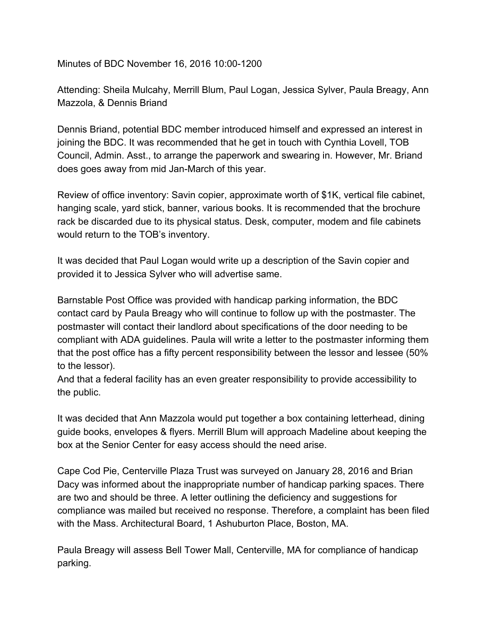Minutes of BDC November 16, 2016 10:00-1200

Attending: Sheila Mulcahy, Merrill Blum, Paul Logan, Jessica Sylver, Paula Breagy, Ann Mazzola, & Dennis Briand

Dennis Briand, potential BDC member introduced himself and expressed an interest in joining the BDC. It was recommended that he get in touch with Cynthia Lovell, TOB Council, Admin. Asst., to arrange the paperwork and swearing in. However, Mr. Briand does goes away from mid Jan-March of this year.

Review of office inventory: Savin copier, approximate worth of \$1K, vertical file cabinet, hanging scale, yard stick, banner, various books. It is recommended that the brochure rack be discarded due to its physical status. Desk, computer, modem and file cabinets would return to the TOB's inventory.

It was decided that Paul Logan would write up a description of the Savin copier and provided it to Jessica Sylver who will advertise same.

Barnstable Post Office was provided with handicap parking information, the BDC contact card by Paula Breagy who will continue to follow up with the postmaster. The postmaster will contact their landlord about specifications of the door needing to be compliant with ADA guidelines. Paula will write a letter to the postmaster informing them that the post office has a fifty percent responsibility between the lessor and lessee (50% to the lessor).

And that a federal facility has an even greater responsibility to provide accessibility to the public.

It was decided that Ann Mazzola would put together a box containing letterhead, dining guide books, envelopes & flyers. Merrill Blum will approach Madeline about keeping the box at the Senior Center for easy access should the need arise.

Cape Cod Pie, Centerville Plaza Trust was surveyed on January 28, 2016 and Brian Dacy was informed about the inappropriate number of handicap parking spaces. There are two and should be three. A letter outlining the deficiency and suggestions for compliance was mailed but received no response. Therefore, a complaint has been filed with the Mass. Architectural Board, 1 Ashuburton Place, Boston, MA.

Paula Breagy will assess Bell Tower Mall, Centerville, MA for compliance of handicap parking.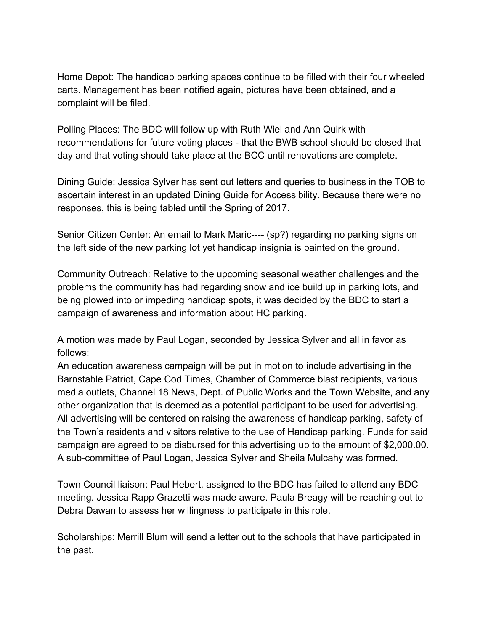Home Depot: The handicap parking spaces continue to be filled with their four wheeled carts. Management has been notified again, pictures have been obtained, and a complaint will be filed.

Polling Places: The BDC will follow up with Ruth Wiel and Ann Quirk with recommendations for future voting places - that the BWB school should be closed that day and that voting should take place at the BCC until renovations are complete.

Dining Guide: Jessica Sylver has sent out letters and queries to business in the TOB to ascertain interest in an updated Dining Guide for Accessibility. Because there were no responses, this is being tabled until the Spring of 2017.

Senior Citizen Center: An email to Mark Maric---- (sp?) regarding no parking signs on the left side of the new parking lot yet handicap insignia is painted on the ground.

Community Outreach: Relative to the upcoming seasonal weather challenges and the problems the community has had regarding snow and ice build up in parking lots, and being plowed into or impeding handicap spots, it was decided by the BDC to start a campaign of awareness and information about HC parking.

A motion was made by Paul Logan, seconded by Jessica Sylver and all in favor as follows:

An education awareness campaign will be put in motion to include advertising in the Barnstable Patriot, Cape Cod Times, Chamber of Commerce blast recipients, various media outlets, Channel 18 News, Dept. of Public Works and the Town Website, and any other organization that is deemed as a potential participant to be used for advertising. All advertising will be centered on raising the awareness of handicap parking, safety of the Town's residents and visitors relative to the use of Handicap parking. Funds for said campaign are agreed to be disbursed for this advertising up to the amount of \$2,000.00. A sub-committee of Paul Logan, Jessica Sylver and Sheila Mulcahy was formed.

Town Council liaison: Paul Hebert, assigned to the BDC has failed to attend any BDC meeting. Jessica Rapp Grazetti was made aware. Paula Breagy will be reaching out to Debra Dawan to assess her willingness to participate in this role.

Scholarships: Merrill Blum will send a letter out to the schools that have participated in the past.